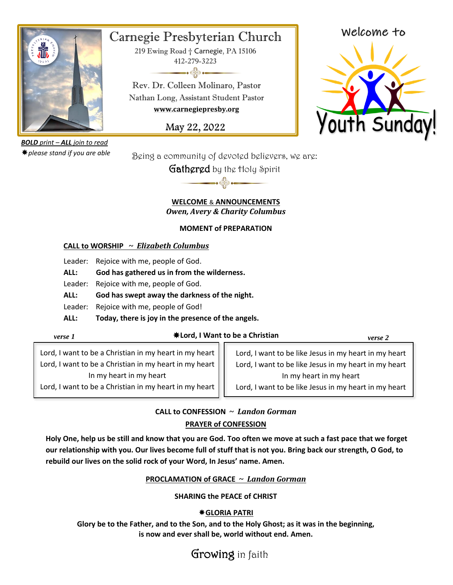

# Carnegie Presbyterian Church

219 Ewing Road † Carnegie, PA 15106 412-279-3223  $\longrightarrow$ 

Rev. Dr. Colleen Molinaro, Pastor Nathan Long, Assistant Student Pastor **www.carnegiepresby.org**

May 22, 2022

Welcome to



*BOLD print – ALL join to read please stand if you are able*

Being a community of devoted believers, we are:

Gathered by the Holy Spirit

#### **WELCOME** & **ANNOUNCEMENTS** *Owen, Avery & Charity Columbus*

 $\rightarrow$ 

### **MOMENT of PREPARATION**

## **CALL to WORSHIP ~** *Elizabeth Columbus*

Leader: Rejoice with me, people of God.

**ALL: God has gathered us in from the wilderness.**

Leader: Rejoice with me, people of God.

**ALL: God has swept away the darkness of the night.**

Leader: Rejoice with me, people of God!

**ALL: Today, there is joy in the presence of the angels.**

**Lord, I Want to be a Christian** *verse 1 verse 2*

Lord, I want to be a Christian in my heart in my heart Lord, I want to be a Christian in my heart in my heart In my heart in my heart

Lord, I want to be a Christian in my heart in my heart

Lord, I want to be like Jesus in my heart in my heart Lord, I want to be like Jesus in my heart in my heart In my heart in my heart Lord, I want to be like Jesus in my heart in my heart

# **CALL to CONFESSION ~** *Landon Gorman* **PRAYER of CONFESSION**

**Holy One, help us be still and know that you are God. Too often we move at such a fast pace that we forget our relationship with you. Our lives become full of stuff that is not you. Bring back our strength, O God, to rebuild our lives on the solid rock of your Word, In Jesus' name. Amen.**

# **PROCLAMATION of GRACE ~** *Landon Gorman*

## **SHARING the PEACE of CHRIST**

# **GLORIA PATRI**

**Glory be to the Father, and to the Son, and to the Holy Ghost; as it was in the beginning, is now and ever shall be, world without end. Amen.**

# Growing in faith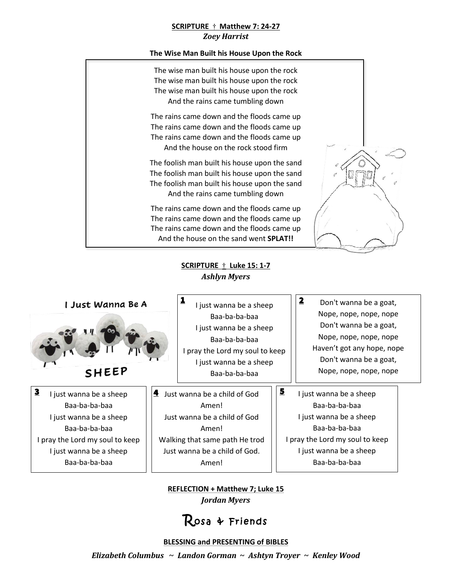#### **SCRIPTURE** † **Matthew 7: 24-27** *Zoey Harrist*

#### **The Wise Man Built his House Upon the Rock**



**SCRIPTURE** † **Luke 15: 1-7** *Ashlyn Myers*



I just wanna be a sheep Baa-ba-ba-baa I just wanna be a sheep Baa-ba-ba-baa I pray the Lord my soul to keep I just wanna be a sheep Baa-ba-ba-baa 3

I just wanna be a sheep Baa-ba-ba-baa I just wanna be a sheep Baa-ba-ba-baa I pray the Lord my soul to keep I just wanna be a sheep Baa-ba-ba-baa 1

**4** Just wanna be a child of God  $\left|\right|$  5 Amen! Just wanna be a child of God Amen! Walking that same path He trod Just wanna be a child of God.

Amen!

- Don't wanna be a goat, Nope, nope, nope, nope Don't wanna be a goat, Nope, nope, nope, nope Haven't got any hope, nope Don't wanna be a goat, Nope, nope, nope, nope
- I just wanna be a sheep Baa-ba-ba-baa I just wanna be a sheep Baa-ba-ba-baa I pray the Lord my soul to keep I just wanna be a sheep Baa-ba-ba-baa

2

**REFLECTION + Matthew 7; Luke 15** *Jordan Myers*

# Rosa & Friends

#### **BLESSING and PRESENTING of BIBLES**

*Elizabeth Columbus* **~** *Landon Gorman* **~** *Ashtyn Troyer* **~** *Kenley Wood*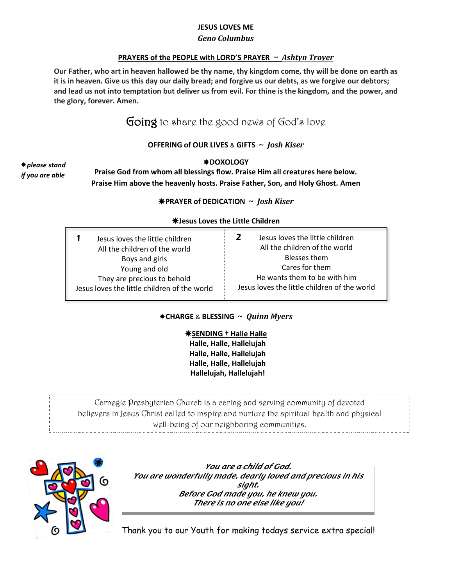#### **JESUS LOVES ME**

#### *Geno Columbus*

#### **PRAYERS of the PEOPLE with LORD'S PRAYER ~** *Ashtyn Troyer*

**Our Father, who art in heaven hallowed be thy name, thy kingdom come, thy will be done on earth as it is in heaven. Give us this day our daily bread; and forgive us our debts, as we forgive our debtors; and lead us not into temptation but deliver us from evil. For thine is the kingdom, and the power, and the glory, forever. Amen.**

# Going to share the good news of God's love

#### **OFFERING of OUR LIVES** & **GIFTS ~** *Josh Kiser*

*please stand if you are able*

#### **DOXOLOGY**

**Praise God from whom all blessings flow. Praise Him all creatures here below. Praise Him above the heavenly hosts. Praise Father, Son, and Holy Ghost. Amen**

#### **PRAYER of DEDICATION ~** *Josh Kiser*

#### **Jesus Loves the Little Children**

| Jesus loves the little children<br>All the children of the world<br>Boys and girls<br>Young and old<br>They are precious to behold<br>Jesus loves the little children of the world | 2<br>Jesus loves the little children<br>All the children of the world<br>Blesses them<br>Cares for them<br>He wants them to be with him<br>Jesus loves the little children of the world |
|------------------------------------------------------------------------------------------------------------------------------------------------------------------------------------|-----------------------------------------------------------------------------------------------------------------------------------------------------------------------------------------|
|------------------------------------------------------------------------------------------------------------------------------------------------------------------------------------|-----------------------------------------------------------------------------------------------------------------------------------------------------------------------------------------|

#### **CHARGE** & **BLESSING ~** *Quinn Myers*

**SENDING † Halle Halle Halle, Halle, Hallelujah Halle, Halle, Hallelujah Halle, Halle, Hallelujah Hallelujah, Hallelujah!**

Carnegie Presbyterian Church is a caring and serving community of devoted believers in Jesus Christ called to inspire and nurture the spiritual health and physical well-being of our neighboring communities.



*You are a child of God. You are wonderfully made, dearly loved and precious in his sight. Before God made you, he knew you. There is no one else like you!*

Thank you to our Youth for making todays service extra special!